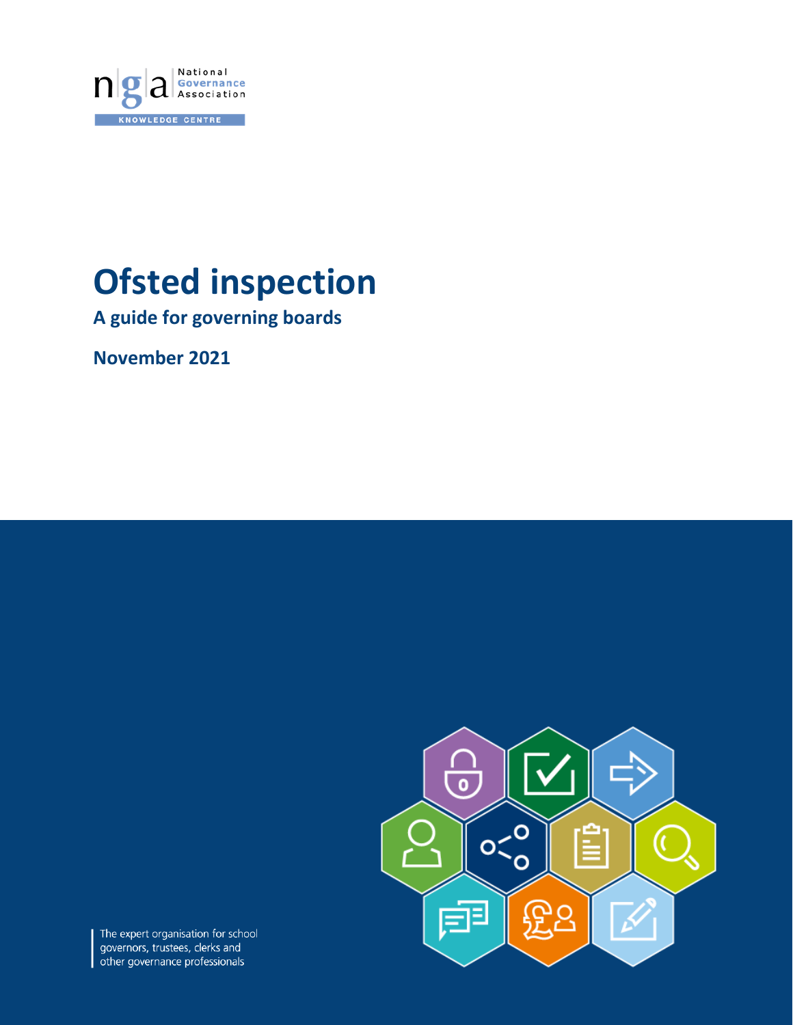

# **Ofsted inspection**

**A guide for governing boards**

**November 2021**



The expert organisation for school governors, trustees, clerks and other governance professionals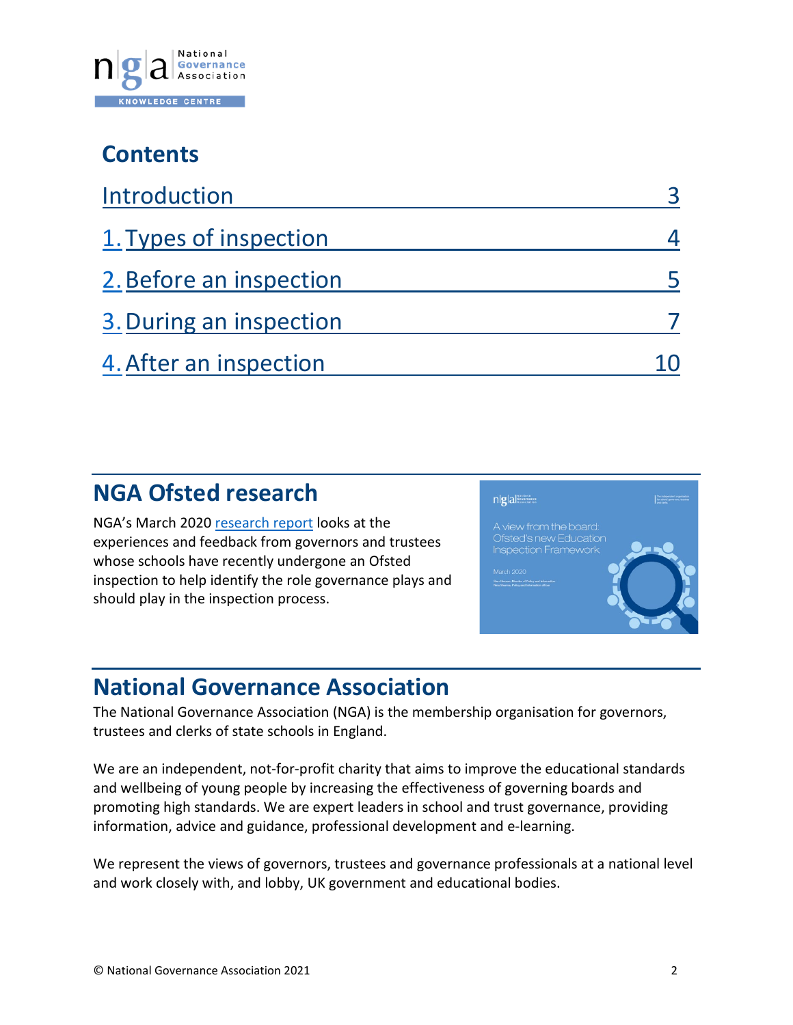

## **Contents**

| Introduction            |  |
|-------------------------|--|
| 1. Types of inspection  |  |
| 2. Before an inspection |  |
| 3. During an inspection |  |
| 4. After an inspection  |  |

## **NGA Ofsted research**

NGA's March 2020 [research report](https://www.nga.org.uk/Knowledge-Centre/research/A-view-from-the-board-Ofsted-s-new-inspection-fram.aspx) looks at the experiences and feedback from governors and trustees whose schools have recently undergone an Ofsted inspection to help identify the role governance plays and should play in the inspection process.



## **National Governance Association**

The National Governance Association (NGA) is the membership organisation for governors, trustees and clerks of state schools in England.

We are an independent, not-for-profit charity that aims to improve the educational standards and wellbeing of young people by increasing the effectiveness of governing boards and promoting high standards. We are expert leaders in school and trust governance, providing information, advice and guidance, professional development and e-learning.

We represent the views of governors, trustees and governance professionals at a national level and work closely with, and lobby, UK government and educational bodies.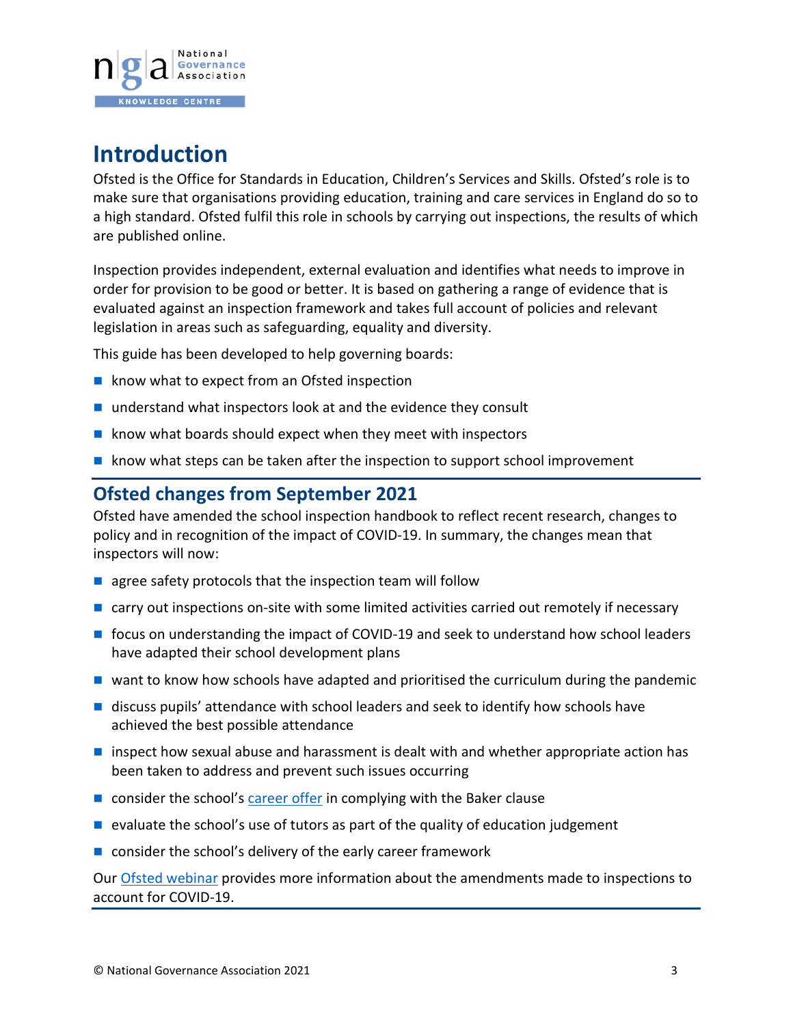

## <span id="page-2-0"></span>**Introduction**

Ofsted is the Office for Standards in Education, Children's Services and Skills. Ofsted's role is to make sure that organisations providing education, training and care services in England do so to a high standard. Ofsted fulfil this role in schools by carrying out inspections, the results of which are published online.

Inspection provides independent, external evaluation and identifies what needs to improve in order for provision to be good or better. It is based on gathering a range of evidence that is evaluated against an inspection framework and takes full account of policies and relevant legislation in areas such as safeguarding, equality and diversity.

This guide has been developed to help governing boards:

- $\blacksquare$  know what to expect from an Ofsted inspection
- understand what inspectors look at and the evidence they consult
- $\blacksquare$  know what boards should expect when they meet with inspectors
- $\blacksquare$  know what steps can be taken after the inspection to support school improvement

### **Ofsted changes from September 2021**

Ofsted have amended the school inspection handbook to reflect recent research, changes to policy and in recognition of the impact of COVID-19. In summary, the changes mean that inspectors will now:

- $\blacksquare$  agree safety protocols that the inspection team will follow
- $\blacksquare$  carry out inspections on-site with some limited activities carried out remotely if necessary
- focus on understanding the impact of COVID-19 and seek to understand how school leaders have adapted their school development plans
- $\blacksquare$  want to know how schools have adapted and prioritised the curriculum during the pandemic
- **discuss pupils' attendance with school leaders and seek to identify how schools have** achieved the best possible attendance
- $\blacksquare$  inspect how sexual abuse and harassment is dealt with and whether appropriate action has been taken to address and prevent such issues occurring
- $\blacksquare$  consider the school's [career offer](https://www.nga.org.uk/Knowledge-Centre/Pupil-success-and-wellbeing/Curriculum/Careers-education.aspx) in complying with the Baker clause
- $\blacksquare$  evaluate the school's use of tutors as part of the quality of education judgement
- consider the school's delivery of the early career framework

Our [Ofsted webinar](https://www.nga.org.uk/News/Webinars/Previous-webinars.aspx) provides more information about the amendments made to inspections to account for COVID-19.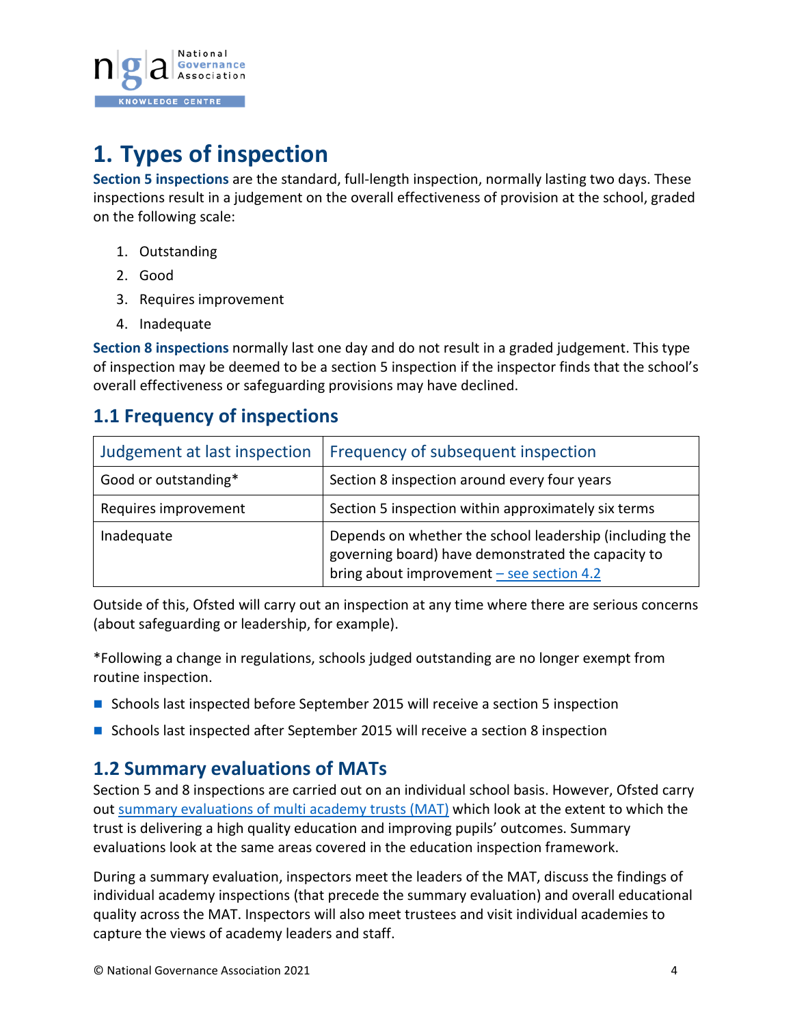

## <span id="page-3-0"></span>**1. Types of inspection**

**Section 5 inspections** are the standard, full-length inspection, normally lasting two days. These inspections result in a judgement on the overall effectiveness of provision at the school, graded on the following scale:

- 1. Outstanding
- 2. Good
- 3. Requires improvement
- 4. Inadequate

**Section 8 inspections** normally last one day and do not result in a graded judgement. This type of inspection may be deemed to be a section 5 inspection if the inspector finds that the school's overall effectiveness or safeguarding provisions may have declined.

## **1.1 Frequency of inspections**

| Judgement at last inspection | Frequency of subsequent inspection                                                                                                                           |
|------------------------------|--------------------------------------------------------------------------------------------------------------------------------------------------------------|
| Good or outstanding*         | Section 8 inspection around every four years                                                                                                                 |
| Requires improvement         | Section 5 inspection within approximately six terms                                                                                                          |
| Inadequate                   | Depends on whether the school leadership (including the<br>governing board) have demonstrated the capacity to<br>bring about improvement $-$ see section 4.2 |

Outside of this, Ofsted will carry out an inspection at any time where there are serious concerns (about safeguarding or leadership, for example).

\*Following a change in regulations, schools judged outstanding are no longer exempt from routine inspection.

- Schools last inspected before September 2015 will receive a section 5 inspection
- **Schools last inspected after September 2015 will receive a section 8 inspection**

### **1.2 Summary evaluations of MATs**

Section 5 and 8 inspections are carried out on an individual school basis. However, Ofsted carry out [summary evaluations of multi academy trusts](https://www.gov.uk/government/news/ofsted-launches-updated-guidance-for-summary-evaluations-of-multi-academy-trusts) (MAT) which look at the extent to which the trust is delivering a high quality education and improving pupils' outcomes. Summary evaluations look at the same areas covered in the education inspection framework.

During a summary evaluation, inspectors meet the leaders of the MAT, discuss the findings of individual academy inspections (that precede the summary evaluation) and overall educational quality across the MAT. Inspectors will also meet trustees and visit individual academies to capture the views of academy leaders and staff.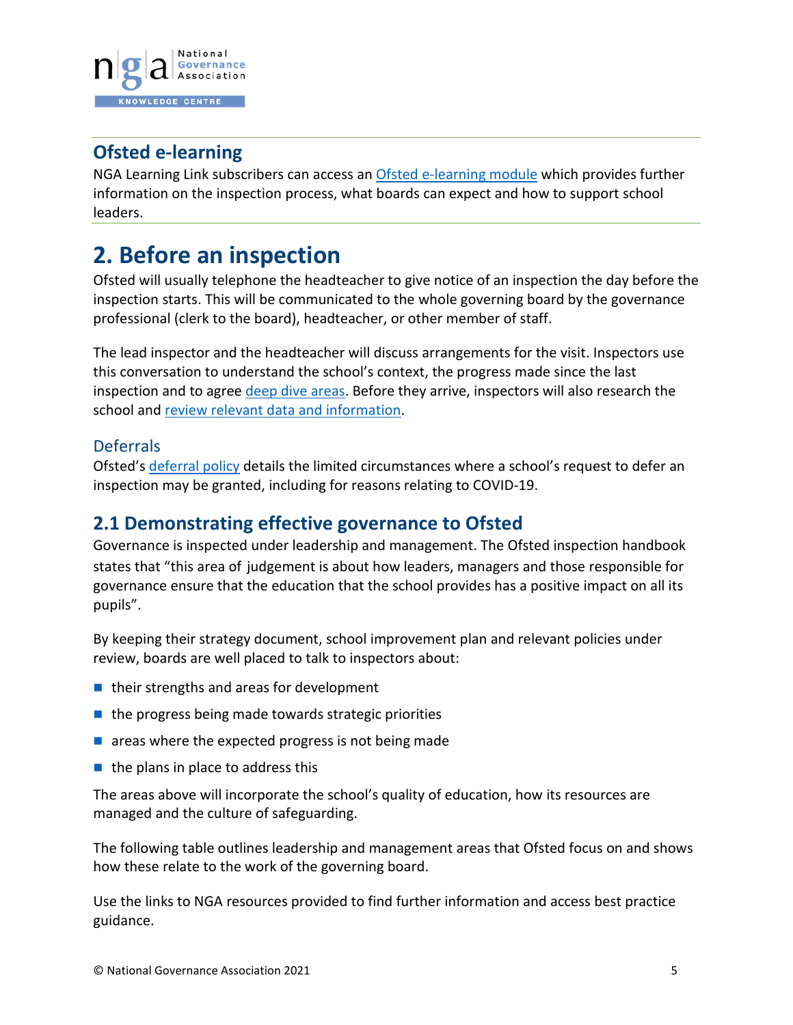

## **Ofsted e-learning**

NGA Learning Link subscribers can access an [Ofsted e-learning module](https://www.nga.org.uk/Training-and-Development/NGA-Learning-Link-e-learning/Collections/Good-Governance.aspx) which provides further information on the inspection process, what boards can expect and how to support school leaders.

## <span id="page-4-0"></span>**2. Before an inspection**

Ofsted will usually telephone the headteacher to give notice of an inspection the day before the inspection starts. This will be communicated to the whole governing board by the governance professional (clerk to the board), headteacher, or other member of staff.

The lead inspector and the headteacher will discuss arrangements for the visit. Inspectors use this conversation to understand the school's context, the progress made since the last inspection and to agree [deep dive areas.](#page-9-2) Before they arrive, inspectors will also research the school and review relevant [data and information.](#page-7-0)

#### **Deferrals**

Ofsted's [deferral policy](https://www.gov.uk/guidance/deferring-ofsted-inspections) details the limited circumstances where a school's request to defer an inspection may be granted, including for reasons relating to COVID-19.

### **2.1 Demonstrating effective governance to Ofsted**

Governance is inspected under leadership and management. The Ofsted inspection handbook states that "this area of judgement is about how leaders, managers and those responsible for governance ensure that the education that the school provides has a positive impact on all its pupils".

By keeping their strategy document, school improvement plan and relevant policies under review, boards are well placed to talk to inspectors about:

- $\blacksquare$  their strengths and areas for development
- $\blacksquare$  the progress being made towards strategic priorities
- $\blacksquare$  areas where the expected progress is not being made
- $\blacksquare$  the plans in place to address this

The areas above will incorporate the school's quality of education, how its resources are managed and the culture of safeguarding.

The following table outlines leadership and management areas that Ofsted focus on and shows how these relate to the work of the governing board.

Use the links to NGA resources provided to find further information and access best practice guidance.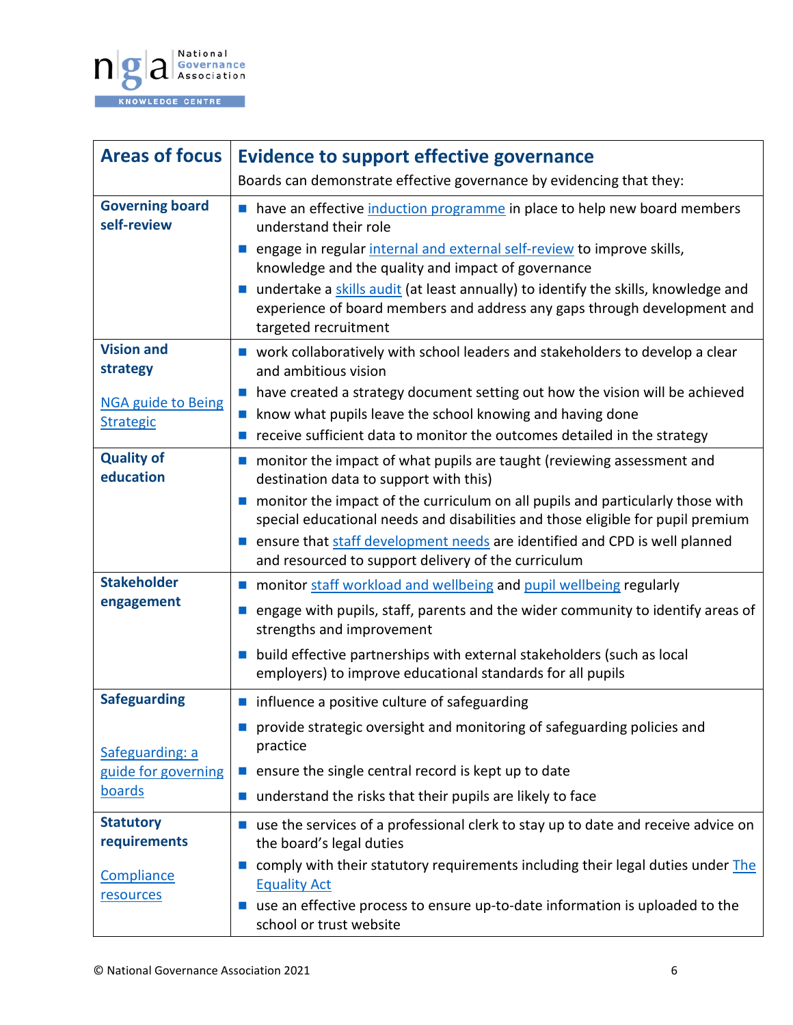

| <b>Areas of focus</b>                         | <b>Evidence to support effective governance</b>                                                                                                                                                                                                                                |
|-----------------------------------------------|--------------------------------------------------------------------------------------------------------------------------------------------------------------------------------------------------------------------------------------------------------------------------------|
|                                               | Boards can demonstrate effective governance by evidencing that they:                                                                                                                                                                                                           |
| <b>Governing board</b><br>self-review         | nave an effective induction programme in place to help new board members<br>understand their role                                                                                                                                                                              |
|                                               | engage in regular internal and external self-review to improve skills,<br>knowledge and the quality and impact of governance                                                                                                                                                   |
|                                               | undertake a skills audit (at least annually) to identify the skills, knowledge and<br>experience of board members and address any gaps through development and<br>targeted recruitment                                                                                         |
| <b>Vision and</b><br>strategy                 | ■ work collaboratively with school leaders and stakeholders to develop a clear<br>and ambitious vision                                                                                                                                                                         |
| <b>NGA guide to Being</b><br><b>Strategic</b> | have created a strategy document setting out how the vision will be achieved<br>$\mathcal{L}_{\mathcal{A}}$<br>know what pupils leave the school knowing and having done<br><b>Index</b><br>receive sufficient data to monitor the outcomes detailed in the strategy<br>$\sim$ |
| <b>Quality of</b><br>education                | ■ monitor the impact of what pupils are taught (reviewing assessment and<br>destination data to support with this)                                                                                                                                                             |
|                                               | numeral monitor the impact of the curriculum on all pupils and particularly those with<br>special educational needs and disabilities and those eligible for pupil premium                                                                                                      |
|                                               | ensure that staff development needs are identified and CPD is well planned<br>and resourced to support delivery of the curriculum                                                                                                                                              |
| <b>Stakeholder</b>                            | monitor staff workload and wellbeing and pupil wellbeing regularly<br><b>College</b>                                                                                                                                                                                           |
| engagement                                    | engage with pupils, staff, parents and the wider community to identify areas of<br>strengths and improvement                                                                                                                                                                   |
|                                               | build effective partnerships with external stakeholders (such as local<br>employers) to improve educational standards for all pupils                                                                                                                                           |
| <b>Safeguarding</b>                           | influence a positive culture of safeguarding                                                                                                                                                                                                                                   |
| Safeguarding: a                               | provide strategic oversight and monitoring of safeguarding policies and<br>practice                                                                                                                                                                                            |
| guide for governing                           | ensure the single central record is kept up to date<br><b>COL</b>                                                                                                                                                                                                              |
| <b>boards</b>                                 | understand the risks that their pupils are likely to face<br>$\mathcal{L}_{\mathcal{A}}$                                                                                                                                                                                       |
| <b>Statutory</b><br>requirements              | use the services of a professional clerk to stay up to date and receive advice on<br>$\mathcal{L}^{\mathcal{L}}$<br>the board's legal duties                                                                                                                                   |
| Compliance<br>resources                       | comply with their statutory requirements including their legal duties under The<br><b>The Co</b><br><b>Equality Act</b>                                                                                                                                                        |
|                                               | use an effective process to ensure up-to-date information is uploaded to the<br>school or trust website                                                                                                                                                                        |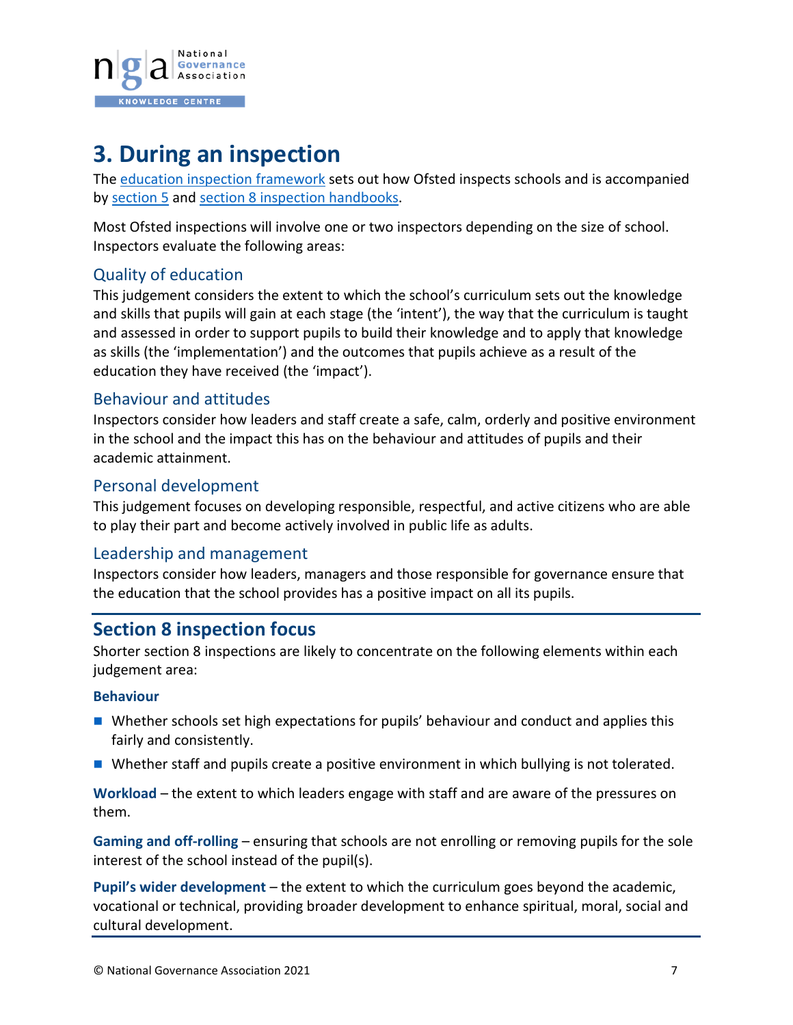

## <span id="page-6-0"></span>**3. During an inspection**

The [education inspection framework](https://www.gov.uk/government/publications/education-inspection-framework/education-inspection-framework) sets out how Ofsted inspects schools and is accompanied by [section 5](https://www.gov.uk/government/publications/school-inspection-handbook-eif) and [section 8 inspection handbooks.](https://www.gov.uk/government/publications/section-8-school-inspection-handbook-eif)

Most Ofsted inspections will involve one or two inspectors depending on the size of school. Inspectors evaluate the following areas:

#### Quality of education

This judgement considers the extent to which the school's curriculum sets out the knowledge and skills that pupils will gain at each stage (the 'intent'), the way that the curriculum is taught and assessed in order to support pupils to build their knowledge and to apply that knowledge as skills (the 'implementation') and the outcomes that pupils achieve as a result of the education they have received (the 'impact').

#### Behaviour and attitudes

Inspectors consider how leaders and staff create a safe, calm, orderly and positive environment in the school and the impact this has on the behaviour and attitudes of pupils and their academic attainment.

#### Personal development

This judgement focuses on developing responsible, respectful, and active citizens who are able to play their part and become actively involved in public life as adults.

#### Leadership and management

Inspectors consider how leaders, managers and those responsible for governance ensure that the education that the school provides has a positive impact on all its pupils.

### **Section 8 inspection focus**

Shorter section 8 inspections are likely to concentrate on the following elements within each judgement area:

#### **Behaviour**

- Whether schools set high expectations for pupils' behaviour and conduct and applies this fairly and consistently.
- Whether staff and pupils create a positive environment in which bullying is not tolerated.

**Workload** – the extent to which leaders engage with staff and are aware of the pressures on them.

**Gaming and off-rolling** – ensuring that schools are not enrolling or removing pupils for the sole interest of the school instead of the pupil(s).

**Pupil's wider development** – the extent to which the curriculum goes beyond the academic, vocational or technical, providing broader development to enhance spiritual, moral, social and cultural development.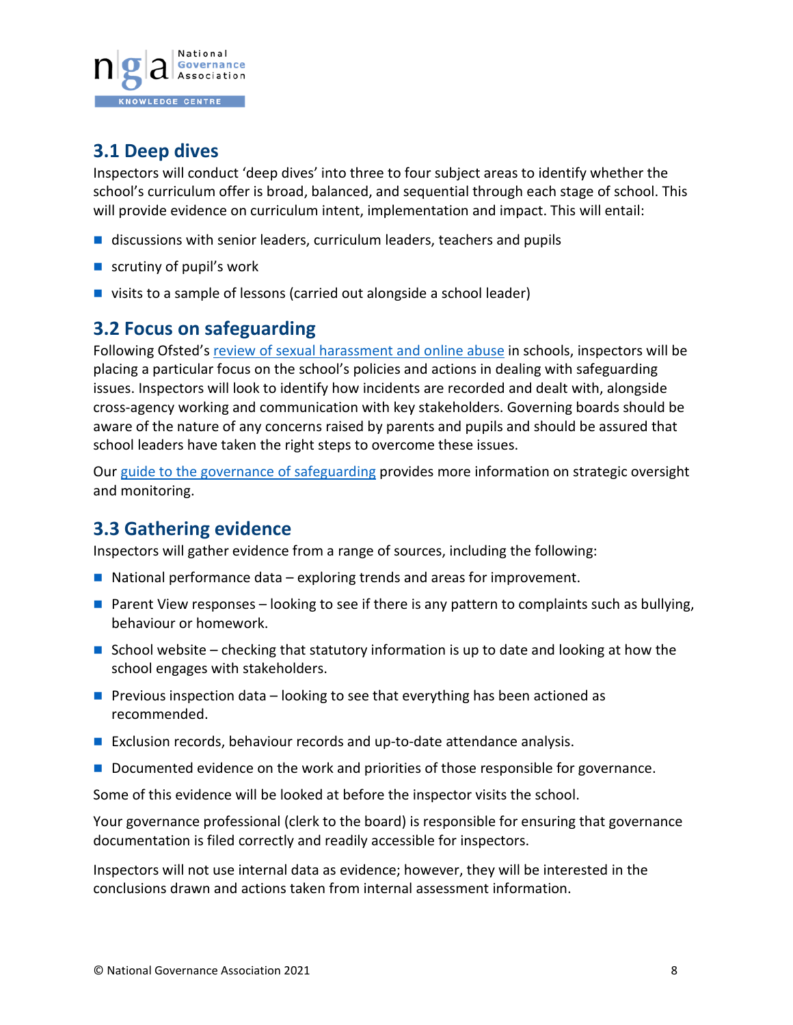

## **3.1 Deep dives**

Inspectors will conduct 'deep dives' into three to four subject areas to identify whether the school's curriculum offer is broad, balanced, and sequential through each stage of school. This will provide evidence on curriculum intent, implementation and impact. This will entail:

- $\blacksquare$  discussions with senior leaders, curriculum leaders, teachers and pupils
- scrutiny of pupil's work
- visits to a sample of lessons (carried out alongside a school leader)

### <span id="page-7-0"></span>**3.2 Focus on safeguarding**

Following Ofsted'[s review of sexual harassment and online abuse](https://www.gov.uk/government/publications/review-of-sexual-abuse-in-schools-and-colleges/review-of-sexual-abuse-in-schools-and-colleges) in schools, inspectors will be placing a particular focus on the school's policies and actions in dealing with safeguarding issues. Inspectors will look to identify how incidents are recorded and dealt with, alongside cross-agency working and communication with key stakeholders. Governing boards should be aware of the nature of any concerns raised by parents and pupils and should be assured that school leaders have taken the right steps to overcome these issues.

Our guide [to the governance of safeguarding](https://www.nga.org.uk/Knowledge-Centre/Pupil-success-and-wellbeing/Pupil-wellbeing/Safeguarding.aspx) provides more information on strategic oversight and monitoring.

## **3.3 Gathering evidence**

Inspectors will gather evidence from a range of sources, including the following:

- $\blacksquare$  National performance data exploring trends and areas for improvement.
- **Parent View responses looking to see if there is any pattern to complaints such as bullying,** behaviour or homework.
- School website checking that statutory information is up to date and looking at how the school engages with stakeholders.
- **Previous inspection data looking to see that everything has been actioned as** recommended.
- Exclusion records, behaviour records and up-to-date attendance analysis.
- Documented evidence on the work and priorities of those responsible for governance.

Some of this evidence will be looked at before the inspector visits the school.

Your governance professional (clerk to the board) is responsible for ensuring that governance documentation is filed correctly and readily accessible for inspectors.

Inspectors will not use internal data as evidence; however, they will be interested in the conclusions drawn and actions taken from internal assessment information.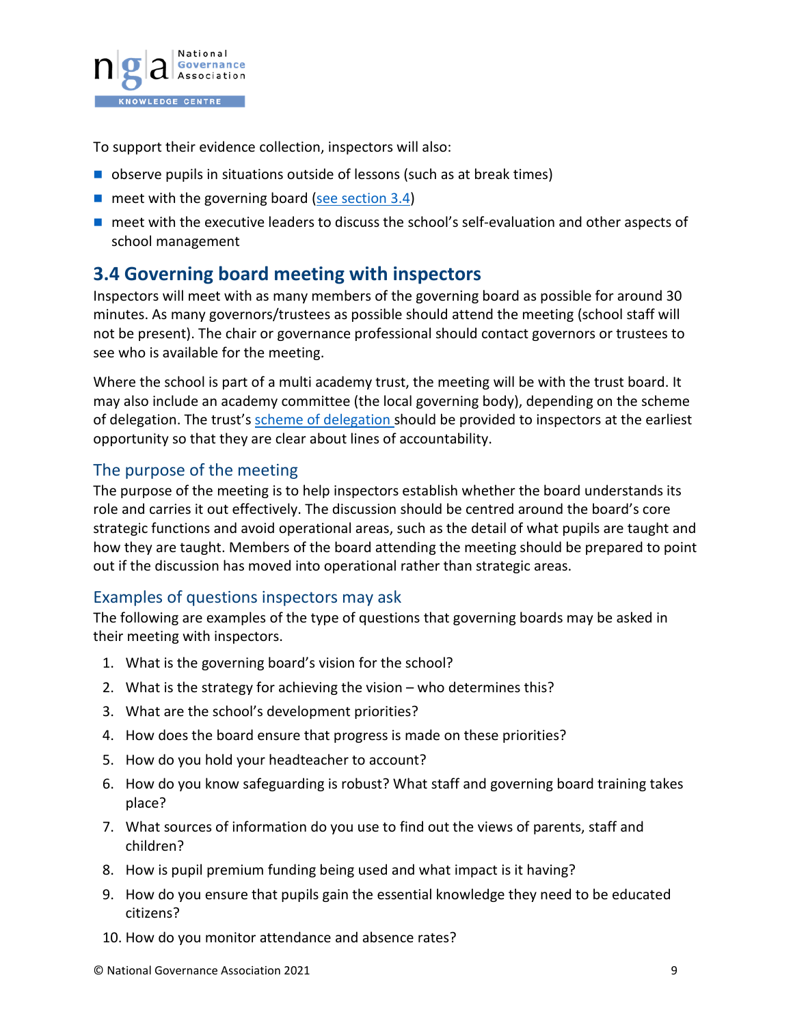

To support their evidence collection, inspectors will also:

- observe pupils in situations outside of lessons (such as at break times)
- $\blacksquare$  meet with the governing board [\(see section 3.4\)](#page-8-0)
- **n** meet with the executive leaders to discuss the school's self-evaluation and other aspects of school management

### <span id="page-8-0"></span>**3.4 Governing board meeting with inspectors**

Inspectors will meet with as many members of the governing board as possible for around 30 minutes. As many governors/trustees as possible should attend the meeting (school staff will not be present). The chair or governance professional should contact governors or trustees to see who is available for the meeting.

Where the school is part of a multi academy trust, the meeting will be with the trust board. It may also include an academy committee (the local governing body), depending on the scheme of delegation. The trust'[s scheme of delegation](https://www.nga.org.uk/Knowledge-Centre/Governance-structure-roles-and-responsibilities/Academy-trusts/Scheme-of-delegation.aspx) should be provided to inspectors at the earliest opportunity so that they are clear about lines of accountability.

#### The purpose of the meeting

The purpose of the meeting is to help inspectors establish whether the board understands its role and carries it out effectively. The discussion should be centred around the board's core strategic functions and avoid operational areas, such as the detail of what pupils are taught and how they are taught. Members of the board attending the meeting should be prepared to point out if the discussion has moved into operational rather than strategic areas.

#### Examples of questions inspectors may ask

The following are examples of the type of questions that governing boards may be asked in their meeting with inspectors.

- 1. What is the governing board's vision for the school?
- 2. What is the strategy for achieving the vision who determines this?
- 3. What are the school's development priorities?
- 4. How does the board ensure that progress is made on these priorities?
- 5. How do you hold your headteacher to account?
- 6. How do you know safeguarding is robust? What staff and governing board training takes place?
- 7. What sources of information do you use to find out the views of parents, staff and children?
- 8. How is pupil premium funding being used and what impact is it having?
- 9. How do you ensure that pupils gain the essential knowledge they need to be educated citizens?
- 10. How do you monitor attendance and absence rates?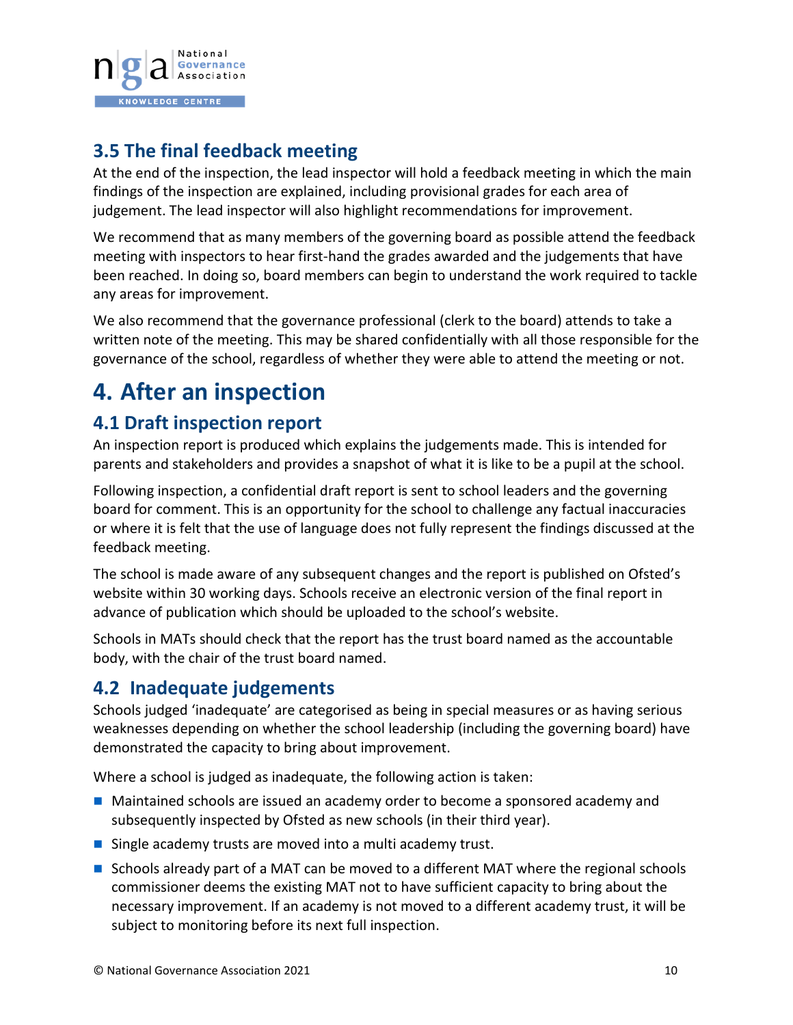

## <span id="page-9-2"></span>**3.5 The final feedback meeting**

At the end of the inspection, the lead inspector will hold a feedback meeting in which the main findings of the inspection are explained, including provisional grades for each area of judgement. The lead inspector will also highlight recommendations for improvement.

We recommend that as many members of the governing board as possible attend the feedback meeting with inspectors to hear first-hand the grades awarded and the judgements that have been reached. In doing so, board members can begin to understand the work required to tackle any areas for improvement.

We also recommend that the governance professional (clerk to the board) attends to take a written note of the meeting. This may be shared confidentially with all those responsible for the governance of the school, regardless of whether they were able to attend the meeting or not.

## <span id="page-9-0"></span>**4. After an inspection**

## **4.1 Draft inspection report**

An inspection report is produced which explains the judgements made. This is intended for parents and stakeholders and provides a snapshot of what it is like to be a pupil at the school.

Following inspection, a confidential draft report is sent to school leaders and the governing board for comment. This is an opportunity for the school to challenge any factual inaccuracies or where it is felt that the use of language does not fully represent the findings discussed at the feedback meeting.

The school is made aware of any subsequent changes and the report is published on Ofsted's website within 30 working days. Schools receive an electronic version of the final report in advance of publication which should be uploaded to the school's website.

Schools in MATs should check that the report has the trust board named as the accountable body, with the chair of the trust board named.

## <span id="page-9-1"></span>**4.2 Inadequate judgements**

Schools judged 'inadequate' are categorised as being in special measures or as having serious weaknesses depending on whether the school leadership (including the governing board) have demonstrated the capacity to bring about improvement.

Where a school is judged as inadequate, the following action is taken:

- Maintained schools are issued an academy order to become a sponsored academy and subsequently inspected by Ofsted as new schools (in their third year).
- Single academy trusts are moved into a multi academy trust.
- Schools already part of a MAT can be moved to a different MAT where the regional schools commissioner deems the existing MAT not to have sufficient capacity to bring about the necessary improvement. If an academy is not moved to a different academy trust, it will be subject to monitoring before its next full inspection.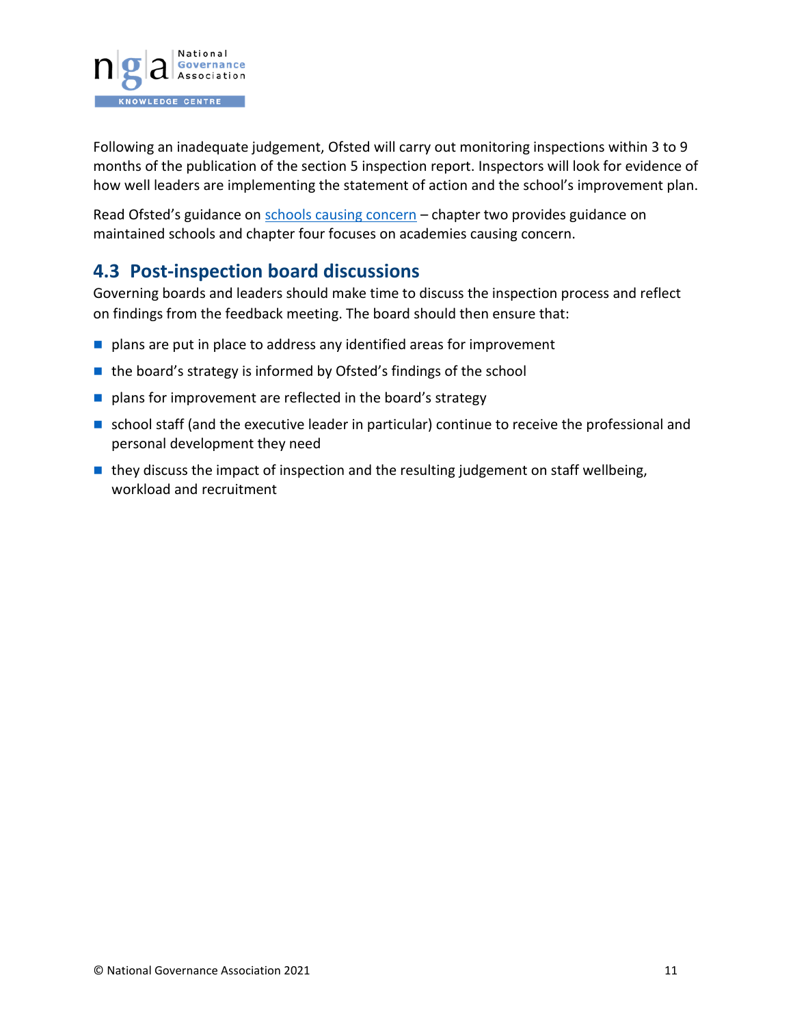

Following an inadequate judgement, Ofsted will carry out monitoring inspections within 3 to 9 months of the publication of the section 5 inspection report. Inspectors will look for evidence of how well leaders are implementing the statement of action and the school's improvement plan.

Read Ofsted's guidance on [schools causing concern](https://assets.publishing.service.gov.uk/government/uploads/system/uploads/attachment_data/file/922910/schools_causing_concern1.pdf) – chapter two provides guidance on maintained schools and chapter four focuses on academies causing concern.

### **4.3 Post-inspection board discussions**

Governing boards and leaders should make time to discuss the inspection process and reflect on findings from the feedback meeting. The board should then ensure that:

- $\blacksquare$  plans are put in place to address any identified areas for improvement
- $\blacksquare$  the board's strategy is informed by Ofsted's findings of the school
- plans for improvement are reflected in the board's strategy
- school staff (and the executive leader in particular) continue to receive the professional and personal development they need
- $\blacksquare$  they discuss the impact of inspection and the resulting judgement on staff wellbeing, workload and recruitment